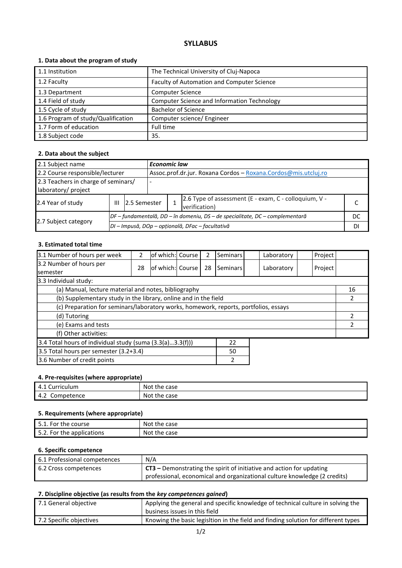# **SYLLABUS**

## **1. Data about the program of study**

| 1.1 Institution                    | The Technical University of Cluj-Napoca     |
|------------------------------------|---------------------------------------------|
| 1.2 Faculty                        | Faculty of Automation and Computer Science  |
| 1.3 Department                     | <b>Computer Science</b>                     |
| 1.4 Field of study                 | Computer Science and Information Technology |
| 1.5 Cycle of study                 | <b>Bachelor of Science</b>                  |
| 1.6 Program of study/Qualification | Computer science/ Engineer                  |
| 1.7 Form of education              | Full time                                   |
| 1.8 Subject code                   | 35.                                         |

## **2. Data about the subject**

| 2.1 Subject name                    |   |                                                                                         | <b>Economic law</b>                                                          |  |                                                                |  |
|-------------------------------------|---|-----------------------------------------------------------------------------------------|------------------------------------------------------------------------------|--|----------------------------------------------------------------|--|
| 2.2 Course responsible/lecturer     |   |                                                                                         |                                                                              |  | Assoc.prof.dr.jur. Roxana Cordos - Roxana.Cordos@mis.utcluj.ro |  |
| 2.3 Teachers in charge of seminars/ |   |                                                                                         |                                                                              |  |                                                                |  |
| laboratory/ project                 |   |                                                                                         |                                                                              |  |                                                                |  |
| 2.4 Year of study                   | Ш | 2.6 Type of assessment (E - exam, C - colloquium, V -<br>12.5 Semester<br>verification) |                                                                              |  |                                                                |  |
|                                     |   |                                                                                         | DF – fundamentală, DD – în domeniu, DS – de specialitate, DC – complementară |  |                                                                |  |
| 2.7 Subject category                |   | DI - Impusă, DOp - opțională, DFac - facultativă                                        |                                                                              |  | DI                                                             |  |

### **3. Estimated total time**

| 3.1 Number of hours per week                                                         | 2  | of which: Course |  | 2  | Seminars |   | Laboratory | Project |  |
|--------------------------------------------------------------------------------------|----|------------------|--|----|----------|---|------------|---------|--|
| 3.2 Number of hours per<br>semester                                                  | 28 | of which: Course |  | 28 | Seminars |   | Laboratory | Project |  |
| 3.3 Individual study:                                                                |    |                  |  |    |          |   |            |         |  |
| (a) Manual, lecture material and notes, bibliography                                 |    |                  |  |    |          |   | 16         |         |  |
| (b) Supplementary study in the library, online and in the field                      |    |                  |  |    |          | 2 |            |         |  |
| (c) Preparation for seminars/laboratory works, homework, reports, portfolios, essays |    |                  |  |    |          |   |            |         |  |
| (d) Tutoring                                                                         |    |                  |  |    |          | 2 |            |         |  |
| (e) Exams and tests                                                                  |    |                  |  |    |          | 2 |            |         |  |
| (f) Other activities:                                                                |    |                  |  |    |          |   |            |         |  |
| 3.4 Total hours of individual study (suma $(3.3(a)3.3(f)))$<br>22                    |    |                  |  |    |          |   |            |         |  |
| 3.5 Total hours per semester (3.2+3.4)<br>50                                         |    |                  |  |    |          |   |            |         |  |
| 3.6 Number of credit points<br>2                                                     |    |                  |  |    |          |   |            |         |  |

#### **4. Pre-requisites (where appropriate)**

| __<br>- - - - -<br>.<br>___<br>- - - - |           |
|----------------------------------------|-----------|
| 4.1                                    | Not       |
| Curriculum                             | the case  |
| 4.2                                    | Not       |
| Competence                             | the case: |

### **5. Requirements (where appropriate)**

| 5.1. For the course       | : the case<br>Not |
|---------------------------|-------------------|
| 5.2. For the applications | Not the case      |

#### **6. Specific competence**

| 6.1 Professional competences | N/A                                                                               |
|------------------------------|-----------------------------------------------------------------------------------|
| 6.2 Cross competences        | $\overline{CT3}$ – Demonstrating the spirit of initiative and action for updating |
|                              | professional, economical and organizational culture knowledge (2 credits)         |

## **7. Discipline objective (as results from the** *key competences gained***)**

| 7.1 General objective   | Applying the general and specific knowledge of technical culture in solving the<br>business issues in this field |
|-------------------------|------------------------------------------------------------------------------------------------------------------|
| 7.2 Specific objectives | Knowing the basic legisltion in the field and finding solution for different types                               |